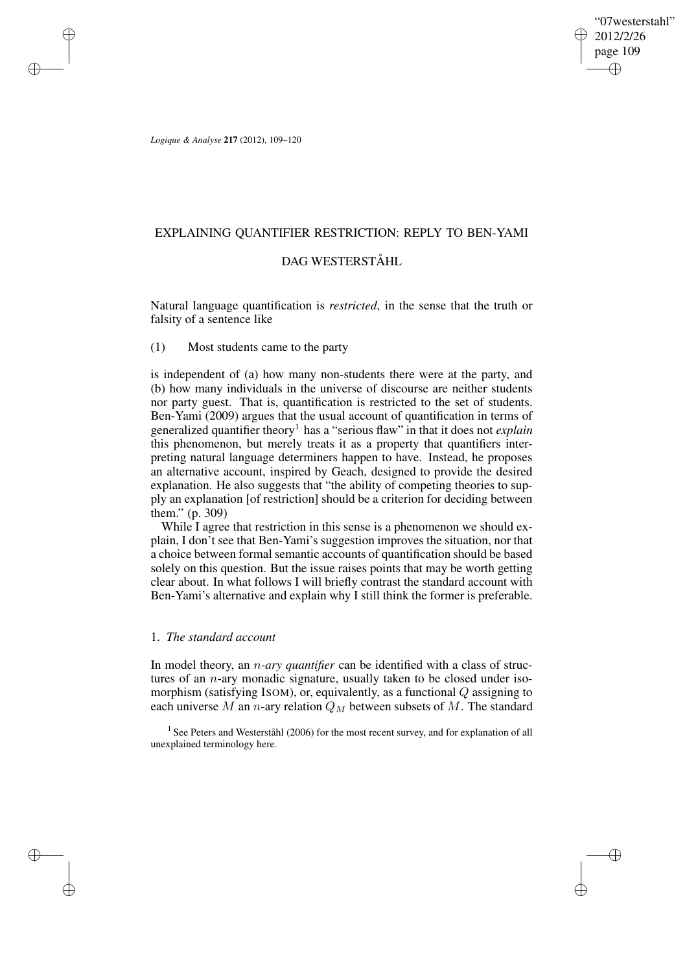"07westerstahl" 2012/2/26 page 109 ✐ ✐

✐

✐

*Logique & Analyse* **217** (2012), 109–120

✐

✐

✐

✐

## EXPLAINING QUANTIFIER RESTRICTION: REPLY TO BEN-YAMI

## DAG WESTERSTÅHL

Natural language quantification is *restricted*, in the sense that the truth or falsity of a sentence like

# (1) Most students came to the party

is independent of (a) how many non-students there were at the party, and (b) how many individuals in the universe of discourse are neither students nor party guest. That is, quantification is restricted to the set of students. Ben-Yami (2009) argues that the usual account of quantification in terms of generalized quantifier theory<sup>1</sup> has a "serious flaw" in that it does not *explain* this phenomenon, but merely treats it as a property that quantifiers interpreting natural language determiners happen to have. Instead, he proposes an alternative account, inspired by Geach, designed to provide the desired explanation. He also suggests that "the ability of competing theories to supply an explanation [of restriction] should be a criterion for deciding between them." (p. 309)

While I agree that restriction in this sense is a phenomenon we should explain, I don't see that Ben-Yami's suggestion improves the situation, nor that a choice between formal semantic accounts of quantification should be based solely on this question. But the issue raises points that may be worth getting clear about. In what follows I will briefly contrast the standard account with Ben-Yami's alternative and explain why I still think the former is preferable.

# 1. *The standard account*

In model theory, an n*-ary quantifier* can be identified with a class of structures of an  $n$ -ary monadic signature, usually taken to be closed under isomorphism (satisfying ISOM), or, equivalently, as a functional Q assigning to each universe M an n-ary relation  $Q_M$  between subsets of M. The standard

<sup>1</sup> See Peters and Westerståhl (2006) for the most recent survey, and for explanation of all unexplained terminology here.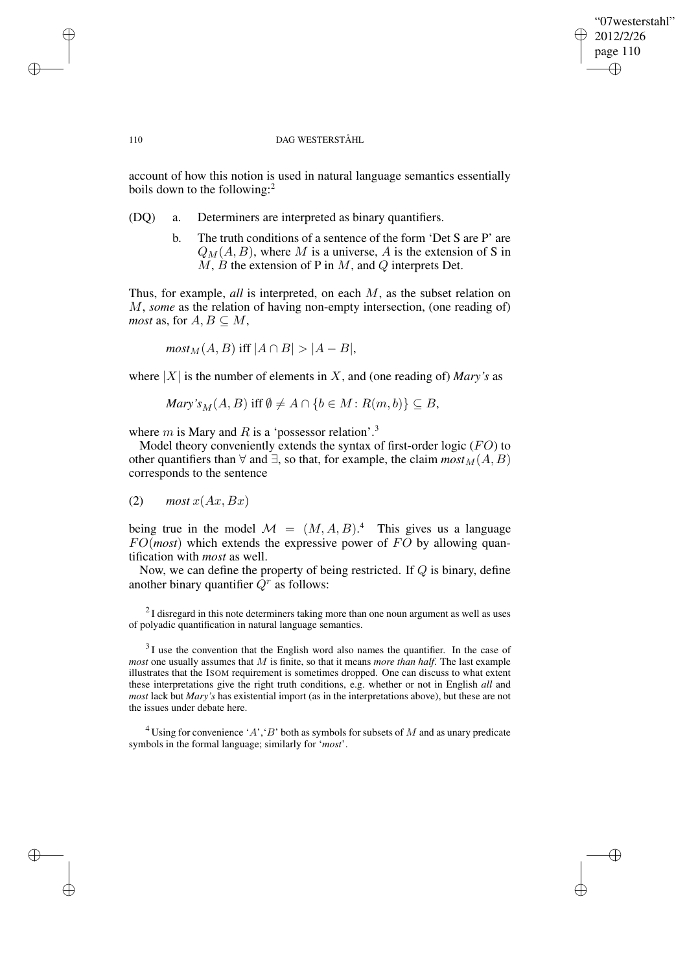✐

### 110 DAG WESTERSTÅHL

account of how this notion is used in natural language semantics essentially boils down to the following:<sup>2</sup>

- (DQ) a. Determiners are interpreted as binary quantifiers.
	- b. The truth conditions of a sentence of the form 'Det S are P' are  $Q_M(A, B)$ , where M is a universe, A is the extension of S in  $M, B$  the extension of P in  $M$ , and  $Q$  interprets Det.

Thus, for example, *all* is interpreted, on each M, as the subset relation on M, *some* as the relation of having non-empty intersection, (one reading of) *most* as, for  $A, B \subseteq M$ ,

 $\textit{most}_{\mathcal{M}}(A, B)$  iff  $|A \cap B| > |A - B|$ ,

where  $|X|$  is the number of elements in X, and (one reading of) *Mary's* as

$$
Mary's_M(A, B) \text{ iff } \emptyset \neq A \cap \{b \in M : R(m, b)\} \subseteq B,
$$

where  $m$  is Mary and  $R$  is a 'possessor relation'.<sup>3</sup>

Model theory conveniently extends the syntax of first-order logic  $(FO)$  to other quantifiers than  $\forall$  and  $\exists$ , so that, for example, the claim  $\textit{most}_M(A, B)$ corresponds to the sentence

$$
(2) \quad \textit{most } x(Ax, Bx)
$$

being true in the model  $\mathcal{M} = (M, A, B)^{4}$  This gives us a language  $FO(most)$  which extends the expressive power of  $FO$  by allowing quantification with *most* as well.

Now, we can define the property of being restricted. If Q is binary, define another binary quantifier  $\dot{Q}^r$  as follows:

 $2$ I disregard in this note determiners taking more than one noun argument as well as uses of polyadic quantification in natural language semantics.

 $3<sup>3</sup>$ I use the convention that the English word also names the quantifier. In the case of *most* one usually assumes that M is finite, so that it means *more than half*. The last example illustrates that the ISOM requirement is sometimes dropped. One can discuss to what extent these interpretations give the right truth conditions, e.g. whether or not in English *all* and *most* lack but *Mary's* has existential import (as in the interpretations above), but these are not the issues under debate here.

 $4$ Using for convenience 'A', 'B' both as symbols for subsets of M and as unary predicate symbols in the formal language; similarly for '*most*'.

✐

✐

✐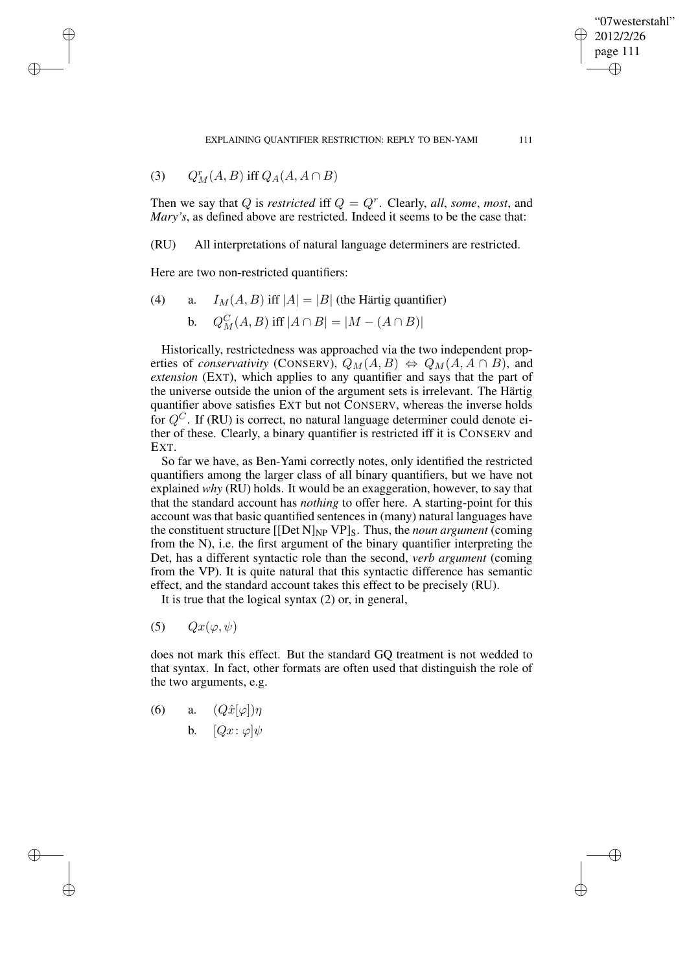EXPLAINING OUANTIFIER RESTRICTION: REPLY TO BEN-YAMI 111

(3) 
$$
Q_M^r(A, B) \text{ iff } Q_A(A, A \cap B)
$$

✐

✐

✐

✐

Then we say that Q is *restricted* iff  $Q = Q^r$ . Clearly, all, *some*, *most*, and *Mary's*, as defined above are restricted. Indeed it seems to be the case that:

(RU) All interpretations of natural language determiners are restricted.

Here are two non-restricted quantifiers:

(4) a. 
$$
I_M(A, B)
$$
 iff  $|A| = |B|$  (the Härtig quantifier)

**b.** 
$$
Q_M^C(A, B)
$$
 iff  $|A \cap B| = |M - (A \cap B)|$ 

Historically, restrictedness was approached via the two independent properties of *conservativity* (CONSERV),  $Q_M(A, B) \Leftrightarrow Q_M(A, A \cap B)$ , and *extension* (EXT), which applies to any quantifier and says that the part of the universe outside the union of the argument sets is irrelevant. The Härtig quantifier above satisfies EXT but not CONSERV, whereas the inverse holds for  $Q^C$ . If (RU) is correct, no natural language determiner could denote either of these. Clearly, a binary quantifier is restricted iff it is CONSERV and EXT.

So far we have, as Ben-Yami correctly notes, only identified the restricted quantifiers among the larger class of all binary quantifiers, but we have not explained *why* (RU) holds. It would be an exaggeration, however, to say that that the standard account has *nothing* to offer here. A starting-point for this account was that basic quantified sentences in (many) natural languages have the constituent structure  $[[Det N]_{NP} VP]_S$ . Thus, the *noun argument* (coming from the N), i.e. the first argument of the binary quantifier interpreting the Det, has a different syntactic role than the second, *verb argument* (coming from the VP). It is quite natural that this syntactic difference has semantic effect, and the standard account takes this effect to be precisely (RU).

It is true that the logical syntax (2) or, in general,

(5)  $Qx(\varphi, \psi)$ 

does not mark this effect. But the standard GQ treatment is not wedded to that syntax. In fact, other formats are often used that distinguish the role of the two arguments, e.g.

- (6) a.  $(Q\hat{x}[\varphi])\eta$ 
	- b.  $[Qx: \varphi]\psi$

"07westerstahl" 2012/2/26 page 111

✐

✐

✐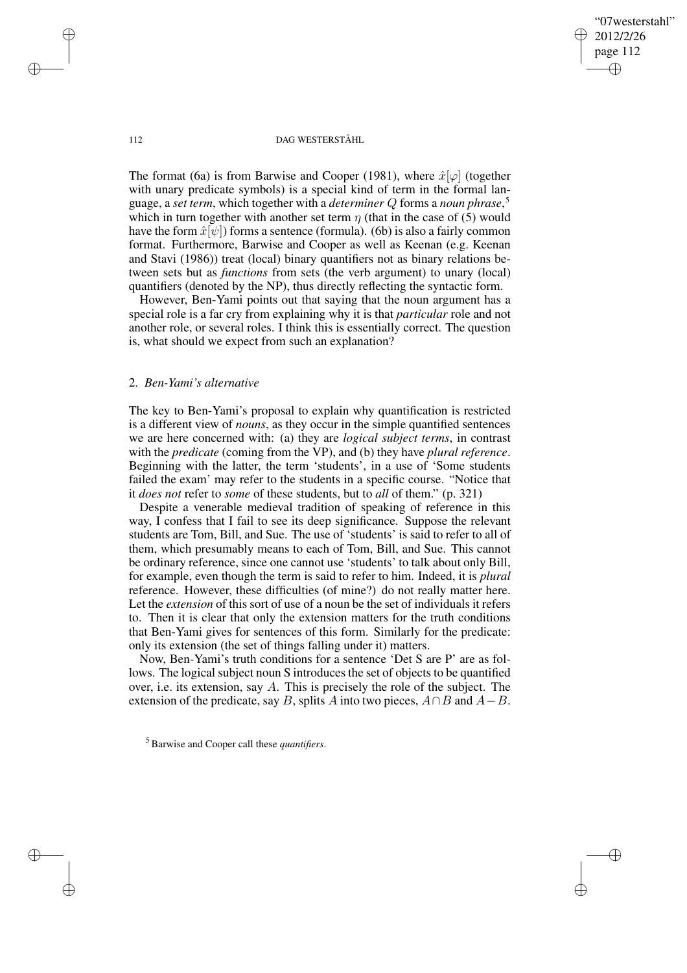112 DAG WESTERSTÅHL

"07westerstahl" 2012/2/26 page 112

✐

✐

✐

✐

The format (6a) is from Barwise and Cooper (1981), where  $\hat{x}[\varphi]$  (together with unary predicate symbols) is a special kind of term in the formal language, a *set term*, which together with a *determiner* Q forms a *noun phrase*, 5 which in turn together with another set term  $\eta$  (that in the case of (5) would have the form  $\hat{x}[\psi]$  forms a sentence (formula). (6b) is also a fairly common format. Furthermore, Barwise and Cooper as well as Keenan (e.g. Keenan and Stavi (1986)) treat (local) binary quantifiers not as binary relations between sets but as *functions* from sets (the verb argument) to unary (local) quantifiers (denoted by the NP), thus directly reflecting the syntactic form.

However, Ben-Yami points out that saying that the noun argument has a special role is a far cry from explaining why it is that *particular* role and not another role, or several roles. I think this is essentially correct. The question is, what should we expect from such an explanation?

### 2. *Ben-Yami's alternative*

The key to Ben-Yami's proposal to explain why quantification is restricted is a different view of *nouns*, as they occur in the simple quantified sentences we are here concerned with: (a) they are *logical subject terms*, in contrast with the *predicate* (coming from the VP), and (b) they have *plural reference*. Beginning with the latter, the term 'students', in a use of 'Some students failed the exam' may refer to the students in a specific course. "Notice that it *does not* refer to *some* of these students, but to *all* of them." (p. 321)

Despite a venerable medieval tradition of speaking of reference in this way, I confess that I fail to see its deep significance. Suppose the relevant students are Tom, Bill, and Sue. The use of 'students' is said to refer to all of them, which presumably means to each of Tom, Bill, and Sue. This cannot be ordinary reference, since one cannot use 'students' to talk about only Bill, for example, even though the term is said to refer to him. Indeed, it is *plural* reference. However, these difficulties (of mine?) do not really matter here. Let the *extension* of this sort of use of a noun be the set of individuals it refers to. Then it is clear that only the extension matters for the truth conditions that Ben-Yami gives for sentences of this form. Similarly for the predicate: only its extension (the set of things falling under it) matters.

Now, Ben-Yami's truth conditions for a sentence 'Det S are P' are as follows. The logical subject noun S introduces the set of objects to be quantified over, i.e. its extension, say A. This is precisely the role of the subject. The extension of the predicate, say B, splits A into two pieces,  $A \cap B$  and  $A - B$ .

✐

✐

✐

<sup>5</sup> Barwise and Cooper call these *quantifiers*.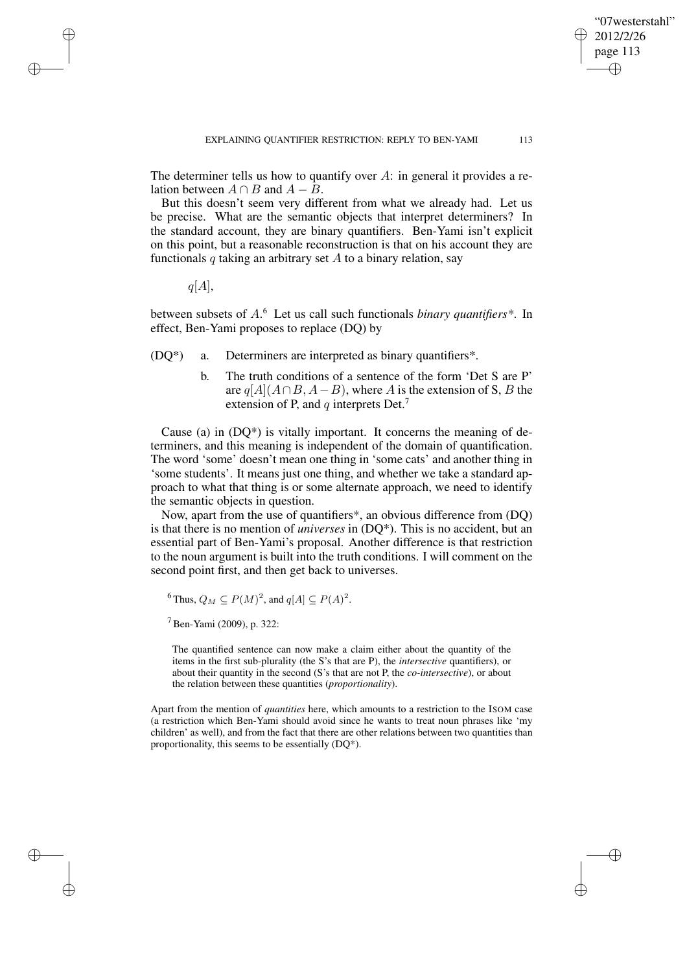"07westerstahl" 2012/2/26 page 113

✐

✐

✐

✐

The determiner tells us how to quantify over  $A$ : in general it provides a relation between  $A \cap B$  and  $A - B$ .

But this doesn't seem very different from what we already had. Let us be precise. What are the semantic objects that interpret determiners? In the standard account, they are binary quantifiers. Ben-Yami isn't explicit on this point, but a reasonable reconstruction is that on his account they are functionals q taking an arbitrary set  $A$  to a binary relation, say

 $q[A],$ 

✐

✐

✐

✐

between subsets of A. <sup>6</sup> Let us call such functionals *binary quantifiers\**. In effect, Ben-Yami proposes to replace (DQ) by

- (DQ\*) a. Determiners are interpreted as binary quantifiers\*.
	- b. The truth conditions of a sentence of the form 'Det S are P' are  $q[A](A \cap B, A - B)$ , where A is the extension of S, B the extension of P, and  $q$  interprets Det.<sup>7</sup>

Cause (a) in  $(DQ^*)$  is vitally important. It concerns the meaning of determiners, and this meaning is independent of the domain of quantification. The word 'some' doesn't mean one thing in 'some cats' and another thing in 'some students'. It means just one thing, and whether we take a standard approach to what that thing is or some alternate approach, we need to identify the semantic objects in question.

Now, apart from the use of quantifiers\*, an obvious difference from (DQ) is that there is no mention of *universes* in (DQ\*). This is no accident, but an essential part of Ben-Yami's proposal. Another difference is that restriction to the noun argument is built into the truth conditions. I will comment on the second point first, and then get back to universes.

<sup>6</sup> Thus,  $Q_M \subseteq P(M)^2$ , and  $q[A] \subseteq P(A)^2$ .

 $<sup>7</sup>$  Ben-Yami (2009), p. 322:</sup>

The quantified sentence can now make a claim either about the quantity of the items in the first sub-plurality (the S's that are P), the *intersective* quantifiers), or about their quantity in the second (S's that are not P, the *co-intersective*), or about the relation between these quantities (*proportionality*).

Apart from the mention of *quantities* here, which amounts to a restriction to the ISOM case (a restriction which Ben-Yami should avoid since he wants to treat noun phrases like 'my children' as well), and from the fact that there are other relations between two quantities than proportionality, this seems to be essentially (DQ\*).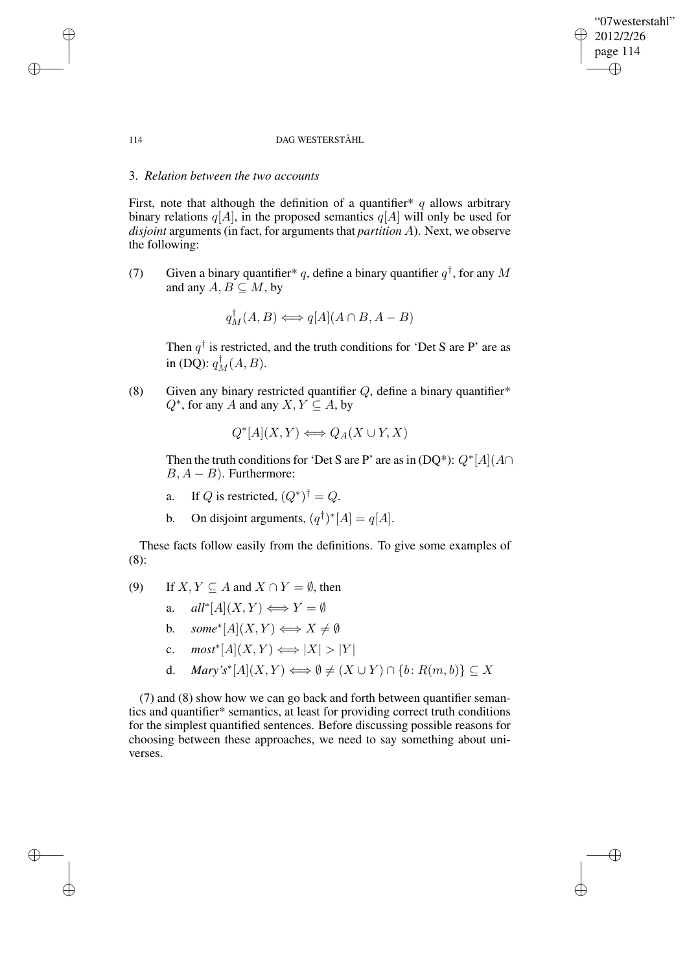### "07westerstahl" 2012/2/26 page 114 ✐ ✐

✐

✐

### 114 DAG WESTERSTÅHL

# 3. *Relation between the two accounts*

First, note that although the definition of a quantifier\* q allows arbitrary binary relations  $q[A]$ , in the proposed semantics  $q[A]$  will only be used for *disjoint* arguments (in fact, for arguments that *partition A*). Next, we observe the following:

(7) Given a binary quantifier \* q, define a binary quantifier  $q^{\dagger}$ , for any M and any  $A, B \subseteq M$ , by

$$
q_M^{\dagger}(A, B) \Longleftrightarrow q[A](A \cap B, A - B)
$$

Then  $q^{\dagger}$  is restricted, and the truth conditions for 'Det S are P' are as in (DQ):  $q_M^{\dagger}(A, B)$ .

(8) Given any binary restricted quantifier  $Q$ , define a binary quantifier\*  $Q^*$ , for any A and any  $X, Y \subseteq A$ , by

$$
Q^*[A](X,Y) \Longleftrightarrow Q_A(X \cup Y, X)
$$

Then the truth conditions for 'Det S are P' are as in (DQ\*):  $Q^*$ [A]( $A \cap$  $B, A - B$ ). Furthermore:

- a. If Q is restricted,  $(Q^*)^{\dagger} = Q$ .
- b. On disjoint arguments,  $(q^{\dagger})^*[A] = q[A].$

These facts follow easily from the definitions. To give some examples of (8):

- (9) If  $X, Y \subseteq A$  and  $X \cap Y = \emptyset$ , then
	- a.  $all^*[A](X,Y) \Longleftrightarrow Y = \emptyset$
	- b.  $some^*[A](X,Y) \Longleftrightarrow X \neq \emptyset$
	- c.  $\textit{most}^*[A](X, Y) \Longleftrightarrow |X| > |Y|$
	- d. *Mary's*<sup>\*</sup>[A](X, Y)  $\Longleftrightarrow \emptyset \neq (X \cup Y) \cap \{b : R(m, b)\} \subseteq X$

(7) and (8) show how we can go back and forth between quantifier semantics and quantifier\* semantics, at least for providing correct truth conditions for the simplest quantified sentences. Before discussing possible reasons for choosing between these approaches, we need to say something about universes.

✐

✐

✐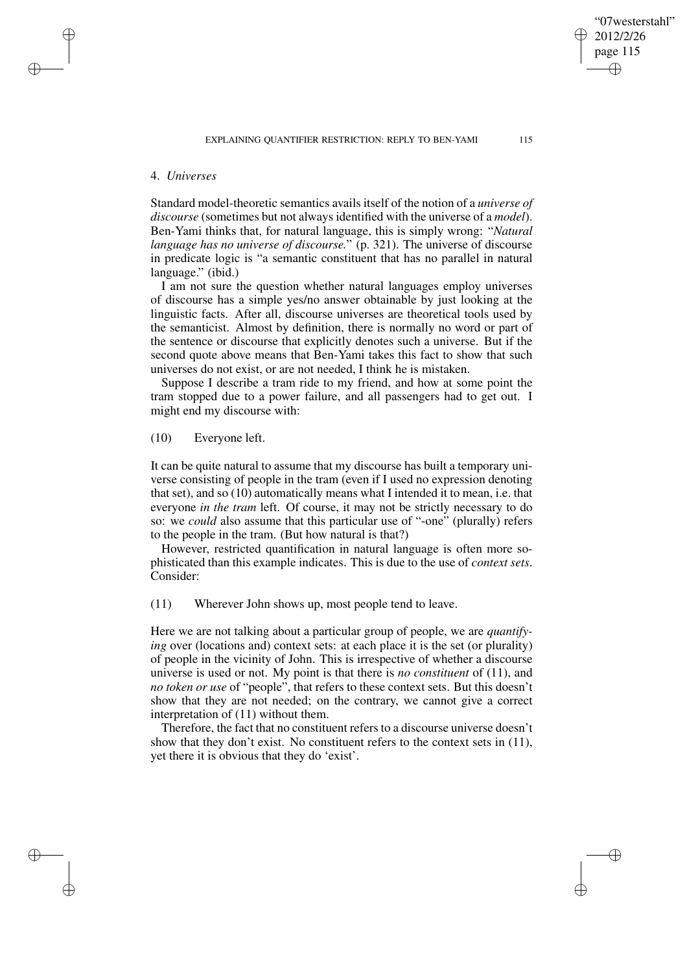### 4. *Universes*

✐

✐

✐

✐

Standard model-theoretic semantics avails itself of the notion of a *universe of discourse* (sometimes but not always identified with the universe of a *model*). Ben-Yami thinks that, for natural language, this is simply wrong: "*Natural language has no universe of discourse.*" (p. 321). The universe of discourse in predicate logic is "a semantic constituent that has no parallel in natural language." (ibid.)

I am not sure the question whether natural languages employ universes of discourse has a simple yes/no answer obtainable by just looking at the linguistic facts. After all, discourse universes are theoretical tools used by the semanticist. Almost by definition, there is normally no word or part of the sentence or discourse that explicitly denotes such a universe. But if the second quote above means that Ben-Yami takes this fact to show that such universes do not exist, or are not needed, I think he is mistaken.

Suppose I describe a tram ride to my friend, and how at some point the tram stopped due to a power failure, and all passengers had to get out. I might end my discourse with:

(10) Everyone left.

It can be quite natural to assume that my discourse has built a temporary universe consisting of people in the tram (even if I used no expression denoting that set), and so (10) automatically means what I intended it to mean, i.e. that everyone *in the tram* left. Of course, it may not be strictly necessary to do so: we *could* also assume that this particular use of "-one" (plurally) refers to the people in the tram. (But how natural is that?)

However, restricted quantification in natural language is often more sophisticated than this example indicates. This is due to the use of *context sets*. Consider:

(11) Wherever John shows up, most people tend to leave.

Here we are not talking about a particular group of people, we are *quantifying* over (locations and) context sets: at each place it is the set (or plurality) of people in the vicinity of John. This is irrespective of whether a discourse universe is used or not. My point is that there is *no constituent* of (11), and *no token or use* of "people", that refers to these context sets. But this doesn't show that they are not needed; on the contrary, we cannot give a correct interpretation of (11) without them.

Therefore, the fact that no constituent refers to a discourse universe doesn't show that they don't exist. No constituent refers to the context sets in (11), yet there it is obvious that they do 'exist'.

"07westerstahl" 2012/2/26 page 115

✐

✐

✐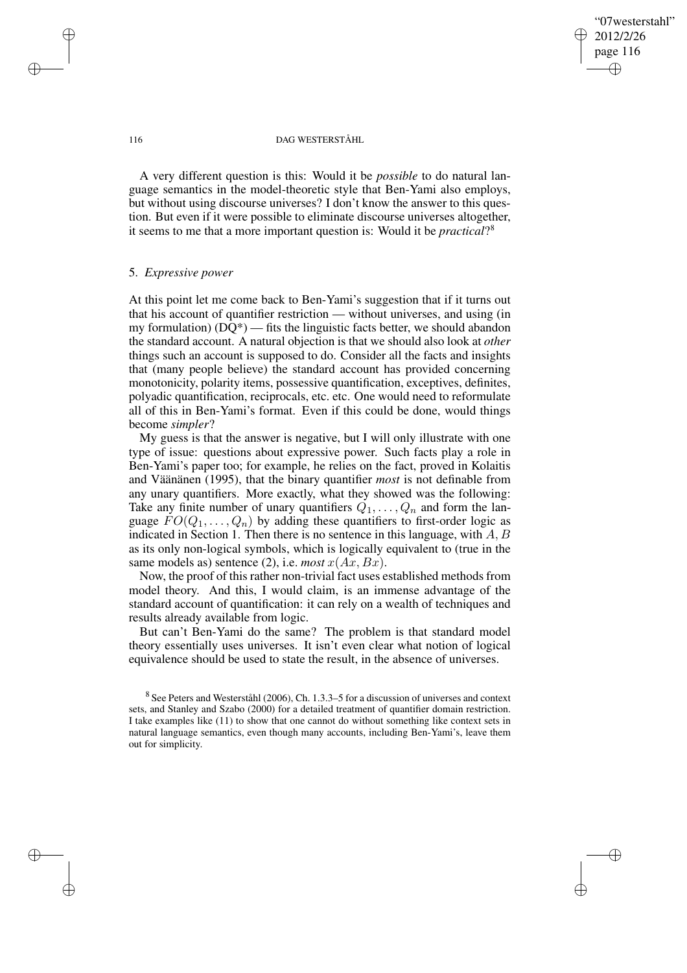✐

#### 116 DAG WESTERSTÅHL

A very different question is this: Would it be *possible* to do natural language semantics in the model-theoretic style that Ben-Yami also employs, but without using discourse universes? I don't know the answer to this question. But even if it were possible to eliminate discourse universes altogether, it seems to me that a more important question is: Would it be *practical*? 8

### 5. *Expressive power*

At this point let me come back to Ben-Yami's suggestion that if it turns out that his account of quantifier restriction — without universes, and using (in my formulation)  $(DQ^*)$  — fits the linguistic facts better, we should abandon the standard account. A natural objection is that we should also look at *other* things such an account is supposed to do. Consider all the facts and insights that (many people believe) the standard account has provided concerning monotonicity, polarity items, possessive quantification, exceptives, definites, polyadic quantification, reciprocals, etc. etc. One would need to reformulate all of this in Ben-Yami's format. Even if this could be done, would things become *simpler*?

My guess is that the answer is negative, but I will only illustrate with one type of issue: questions about expressive power. Such facts play a role in Ben-Yami's paper too; for example, he relies on the fact, proved in Kolaitis and Väänänen (1995), that the binary quantifier *most* is not definable from any unary quantifiers. More exactly, what they showed was the following: Take any finite number of unary quantifiers  $Q_1, \ldots, Q_n$  and form the language  $FO(Q_1, \ldots, Q_n)$  by adding these quantifiers to first-order logic as indicated in Section 1. Then there is no sentence in this language, with  $A, B$ as its only non-logical symbols, which is logically equivalent to (true in the same models as) sentence (2), i.e. *most*  $x(Ax, Bx)$ .

Now, the proof of this rather non-trivial fact uses established methods from model theory. And this, I would claim, is an immense advantage of the standard account of quantification: it can rely on a wealth of techniques and results already available from logic.

But can't Ben-Yami do the same? The problem is that standard model theory essentially uses universes. It isn't even clear what notion of logical equivalence should be used to state the result, in the absence of universes.

 $8$  See Peters and Westerståhl (2006), Ch. 1.3.3–5 for a discussion of universes and context sets, and Stanley and Szabo (2000) for a detailed treatment of quantifier domain restriction. I take examples like (11) to show that one cannot do without something like context sets in natural language semantics, even though many accounts, including Ben-Yami's, leave them out for simplicity.

✐

✐

✐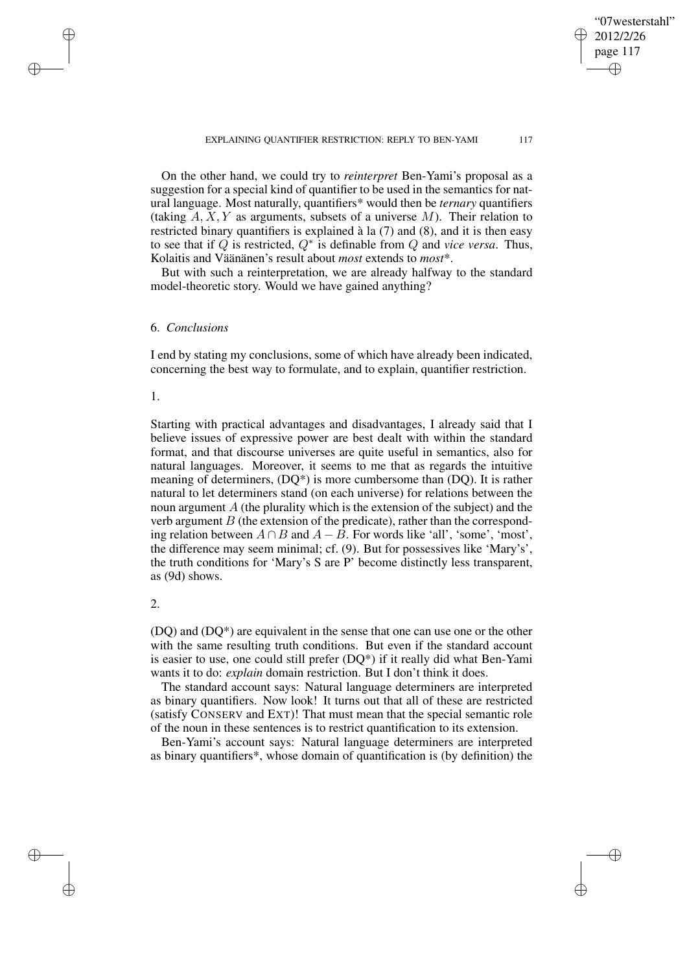✐

# On the other hand, we could try to *reinterpret* Ben-Yami's proposal as a suggestion for a special kind of quantifier to be used in the semantics for natural language. Most naturally, quantifiers\* would then be *ternary* quantifiers (taking  $A, X, Y$  as arguments, subsets of a universe M). Their relation to restricted binary quantifiers is explained à la (7) and (8), and it is then easy to see that if  $Q$  is restricted,  $Q^*$  is definable from  $Q$  and *vice versa*. Thus, Kolaitis and Väänänen's result about *most* extends to *most*\*.

But with such a reinterpretation, we are already halfway to the standard model-theoretic story. Would we have gained anything?

## 6. *Conclusions*

I end by stating my conclusions, some of which have already been indicated, concerning the best way to formulate, and to explain, quantifier restriction.

# 1.

✐

✐

✐

✐

Starting with practical advantages and disadvantages, I already said that I believe issues of expressive power are best dealt with within the standard format, and that discourse universes are quite useful in semantics, also for natural languages. Moreover, it seems to me that as regards the intuitive meaning of determiners, (DQ\*) is more cumbersome than (DQ). It is rather natural to let determiners stand (on each universe) for relations between the noun argument A (the plurality which is the extension of the subject) and the verb argument  $B$  (the extension of the predicate), rather than the corresponding relation between  $A \cap B$  and  $A - B$ . For words like 'all', 'some', 'most', the difference may seem minimal; cf. (9). But for possessives like 'Mary's', the truth conditions for 'Mary's S are P' become distinctly less transparent, as (9d) shows.

#### 2.

(DQ) and (DQ\*) are equivalent in the sense that one can use one or the other with the same resulting truth conditions. But even if the standard account is easier to use, one could still prefer (DQ\*) if it really did what Ben-Yami wants it to do: *explain* domain restriction. But I don't think it does.

The standard account says: Natural language determiners are interpreted as binary quantifiers. Now look! It turns out that all of these are restricted (satisfy CONSERV and EXT)! That must mean that the special semantic role of the noun in these sentences is to restrict quantification to its extension.

Ben-Yami's account says: Natural language determiners are interpreted as binary quantifiers\*, whose domain of quantification is (by definition) the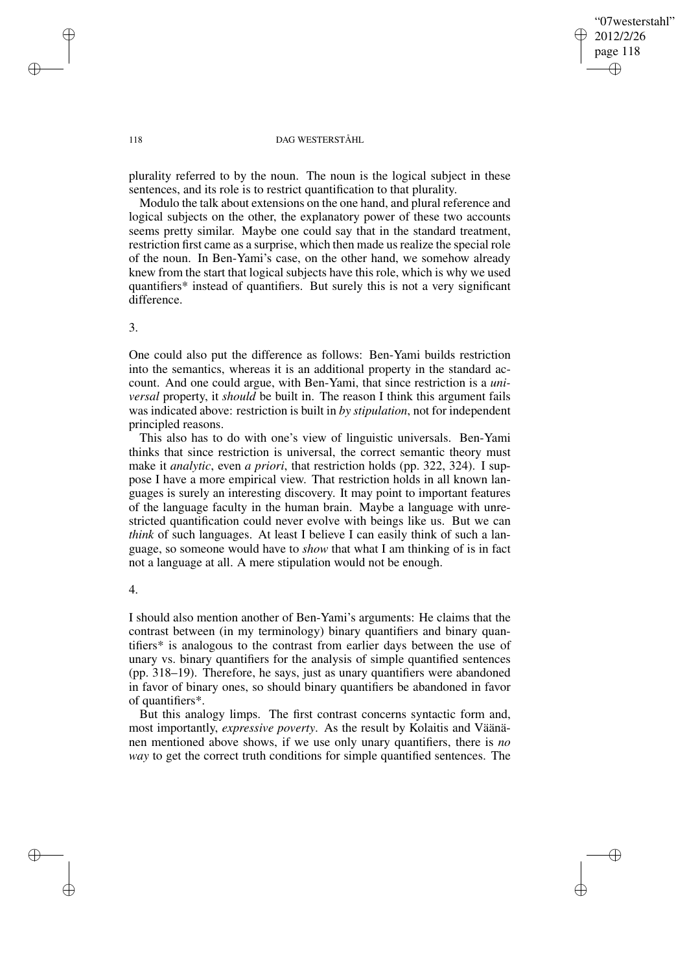✐

#### 118 DAG WESTERSTÅHL

plurality referred to by the noun. The noun is the logical subject in these sentences, and its role is to restrict quantification to that plurality.

Modulo the talk about extensions on the one hand, and plural reference and logical subjects on the other, the explanatory power of these two accounts seems pretty similar. Maybe one could say that in the standard treatment, restriction first came as a surprise, which then made us realize the special role of the noun. In Ben-Yami's case, on the other hand, we somehow already knew from the start that logical subjects have this role, which is why we used quantifiers\* instead of quantifiers. But surely this is not a very significant difference.

3.

One could also put the difference as follows: Ben-Yami builds restriction into the semantics, whereas it is an additional property in the standard account. And one could argue, with Ben-Yami, that since restriction is a *universal* property, it *should* be built in. The reason I think this argument fails was indicated above: restriction is built in *by stipulation*, not for independent principled reasons.

This also has to do with one's view of linguistic universals. Ben-Yami thinks that since restriction is universal, the correct semantic theory must make it *analytic*, even *a priori*, that restriction holds (pp. 322, 324). I suppose I have a more empirical view. That restriction holds in all known languages is surely an interesting discovery. It may point to important features of the language faculty in the human brain. Maybe a language with unrestricted quantification could never evolve with beings like us. But we can *think* of such languages. At least I believe I can easily think of such a language, so someone would have to *show* that what I am thinking of is in fact not a language at all. A mere stipulation would not be enough.

## 4.

✐

✐

I should also mention another of Ben-Yami's arguments: He claims that the contrast between (in my terminology) binary quantifiers and binary quantifiers\* is analogous to the contrast from earlier days between the use of unary vs. binary quantifiers for the analysis of simple quantified sentences (pp. 318–19). Therefore, he says, just as unary quantifiers were abandoned in favor of binary ones, so should binary quantifiers be abandoned in favor of quantifiers\*.

But this analogy limps. The first contrast concerns syntactic form and, most importantly, *expressive poverty*. As the result by Kolaitis and Väänänen mentioned above shows, if we use only unary quantifiers, there is *no way* to get the correct truth conditions for simple quantified sentences. The

✐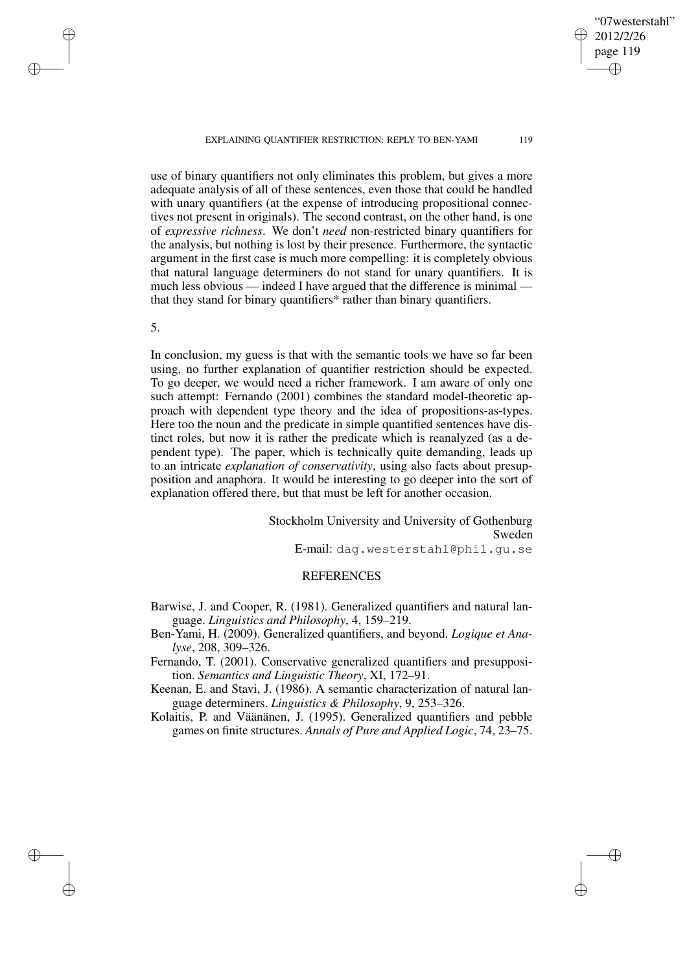EXPLAINING QUANTIFIER RESTRICTION: REPLY TO BEN-YAMI 119

"07westerstahl" 2012/2/26 page 119 ✐ ✐

✐

✐

use of binary quantifiers not only eliminates this problem, but gives a more adequate analysis of all of these sentences, even those that could be handled with unary quantifiers (at the expense of introducing propositional connectives not present in originals). The second contrast, on the other hand, is one of *expressive richness*. We don't *need* non-restricted binary quantifiers for the analysis, but nothing is lost by their presence. Furthermore, the syntactic argument in the first case is much more compelling: it is completely obvious that natural language determiners do not stand for unary quantifiers. It is much less obvious — indeed I have argued that the difference is minimal that they stand for binary quantifiers\* rather than binary quantifiers.

5.

✐

✐

✐

✐

In conclusion, my guess is that with the semantic tools we have so far been using, no further explanation of quantifier restriction should be expected. To go deeper, we would need a richer framework. I am aware of only one such attempt: Fernando (2001) combines the standard model-theoretic approach with dependent type theory and the idea of propositions-as-types. Here too the noun and the predicate in simple quantified sentences have distinct roles, but now it is rather the predicate which is reanalyzed (as a dependent type). The paper, which is technically quite demanding, leads up to an intricate *explanation of conservativity*, using also facts about presupposition and anaphora. It would be interesting to go deeper into the sort of explanation offered there, but that must be left for another occasion.

> Stockholm University and University of Gothenburg Sweden E-mail: dag.westerstahl@phil.gu.se

# **REFERENCES**

- Barwise, J. and Cooper, R. (1981). Generalized quantifiers and natural language. *Linguistics and Philosophy*, 4, 159–219.
- Ben-Yami, H. (2009). Generalized quantifiers, and beyond. *Logique et Analyse*, 208, 309–326.
- Fernando, T. (2001). Conservative generalized quantifiers and presupposition. *Semantics and Linguistic Theory*, XI, 172–91.
- Keenan, E. and Stavi, J. (1986). A semantic characterization of natural language determiners. *Linguistics & Philosophy*, 9, 253–326.
- Kolaitis, P. and Väänänen, J. (1995). Generalized quantifiers and pebble games on finite structures. *Annals of Pure and Applied Logic*, 74, 23–75.